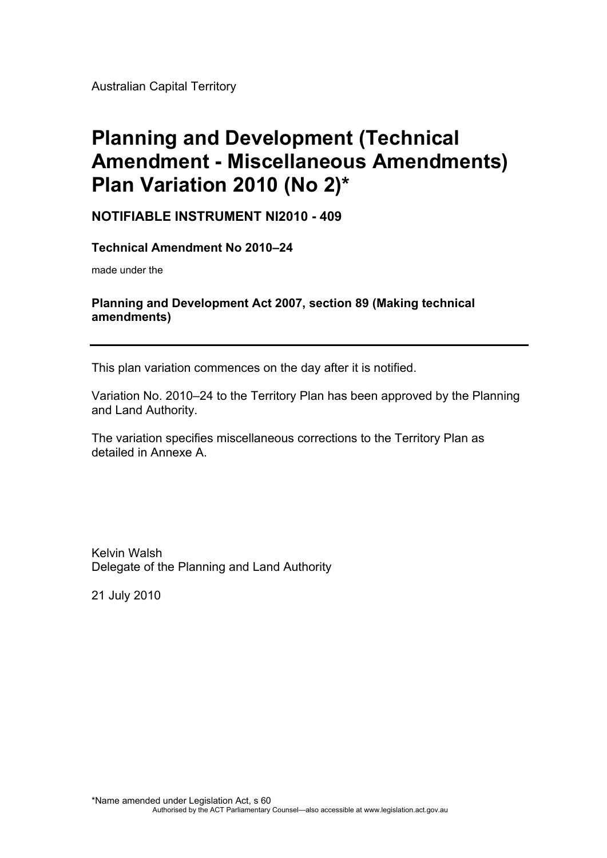Australian Capital Territory

# **Planning and Development (Technical Amendment - Miscellaneous Amendments) Plan Variation 2010 (No 2)\***

**NOTIFIABLE INSTRUMENT NI2010 - 409** 

**Technical Amendment No 2010–24** 

made under the

#### **Planning and Development Act 2007, section 89 (Making technical amendments)**

This plan variation commences on the day after it is notified.

Variation No. 2010–24 to the Territory Plan has been approved by the Planning and Land Authority.

The variation specifies miscellaneous corrections to the Territory Plan as detailed in Annexe A.

Kelvin Walsh Delegate of the Planning and Land Authority

21 July 2010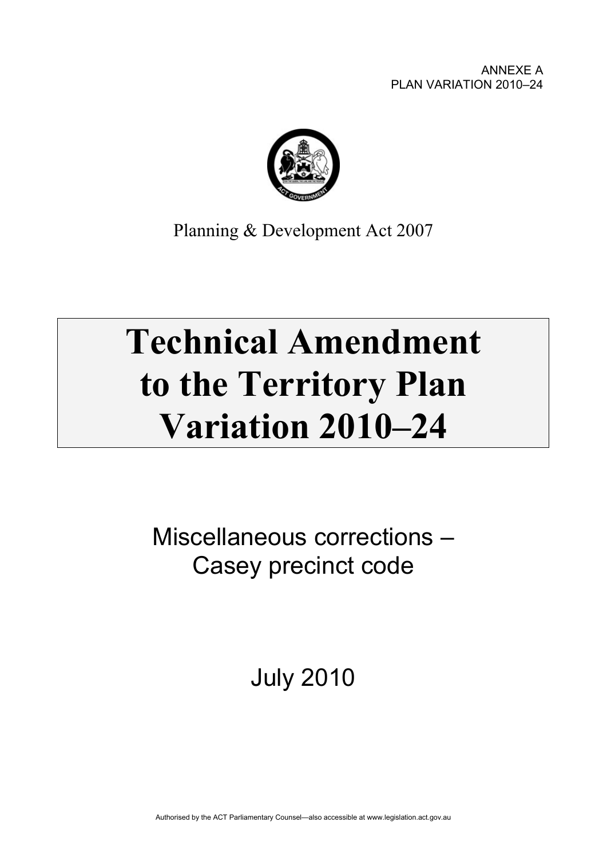

Planning & Development Act 2007

# **Technical Amendment to the Territory Plan Variation 2010–24**

Miscellaneous corrections – Casey precinct code

July 2010

Authorised by the ACT Parliamentary Counsel—also accessible at www.legislation.act.gov.au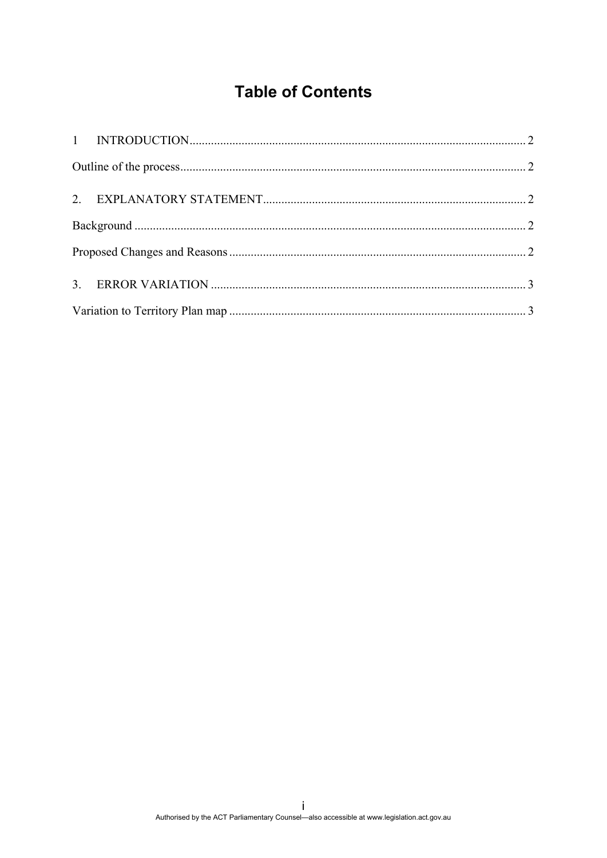## **Table of Contents**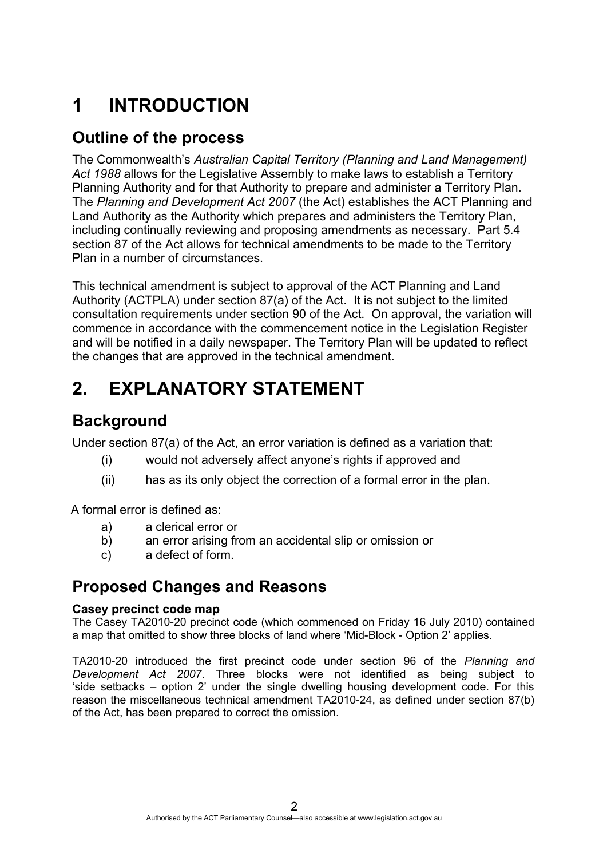# <span id="page-3-0"></span>**1 INTRODUCTION**

#### <span id="page-3-1"></span>**Outline of the process**

The Commonwealth's *Australian Capital Territory (Planning and Land Management) Act 1988* allows for the Legislative Assembly to make laws to establish a Territory Planning Authority and for that Authority to prepare and administer a Territory Plan. The *Planning and Development Act 2007* (the Act) establishes the ACT Planning and Land Authority as the Authority which prepares and administers the Territory Plan, including continually reviewing and proposing amendments as necessary. Part 5.4 section 87 of the Act allows for technical amendments to be made to the Territory Plan in a number of circumstances.

This technical amendment is subject to approval of the ACT Planning and Land Authority (ACTPLA) under section 87(a) of the Act. It is not subject to the limited consultation requirements under section 90 of the Act. On approval, the variation will commence in accordance with the commencement notice in the Legislation Register and will be notified in a daily newspaper. The Territory Plan will be updated to reflect the changes that are approved in the technical amendment.

# <span id="page-3-2"></span>**2. EXPLANATORY STATEMENT**

## <span id="page-3-3"></span>**Background**

Under section 87(a) of the Act, an error variation is defined as a variation that:

- (i) would not adversely affect anyone's rights if approved and
- (ii) has as its only object the correction of a formal error in the plan.

A formal error is defined as:

- a) a clerical error or
- b) an error arising from an accidental slip or omission or
- c) a defect of form.

### <span id="page-3-4"></span>**Proposed Changes and Reasons**

#### **Casey precinct code map**

The Casey TA2010-20 precinct code (which commenced on Friday 16 July 2010) contained a map that omitted to show three blocks of land where 'Mid-Block - Option 2' applies.

TA2010-20 introduced the first precinct code under section 96 of the *Planning and Development Act 2007*. Three blocks were not identified as being subject to 'side setbacks – option 2' under the single dwelling housing development code. For this reason the miscellaneous technical amendment TA2010-24, as defined under section 87(b) of the Act, has been prepared to correct the omission.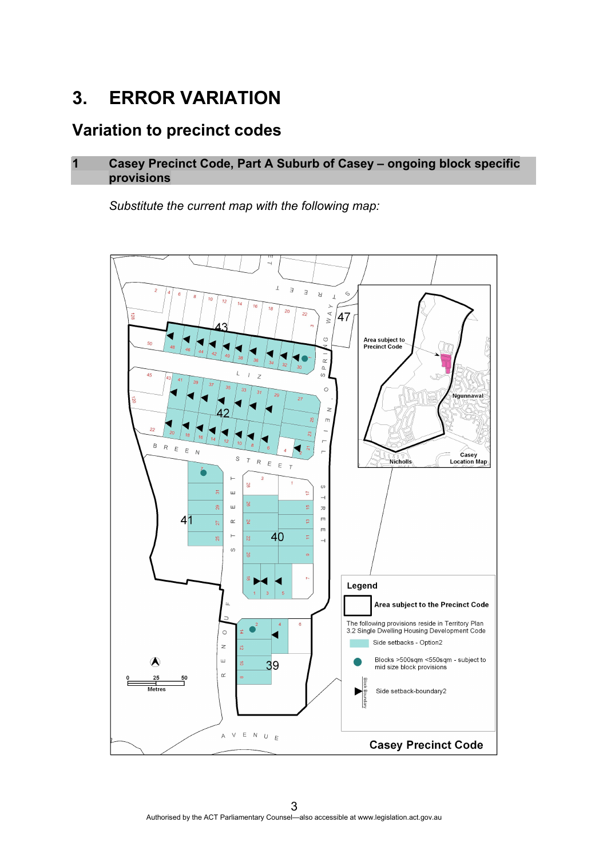# <span id="page-4-0"></span>**3. ERROR VARIATION**

## <span id="page-4-1"></span>**Variation to precinct codes**

#### **1 Casey Precinct Code, Part A Suburb of Casey – ongoing block specific provisions**

*Substitute the current map with the following map:*